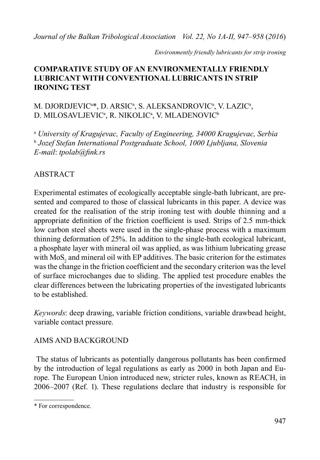*Journal of the Balkan Tribological Association Vol. 22, No 1A-II, 947–958* (*2016*)

*Environmently friendly lubricants for strip ironing*

## **COMPARATIVE STUDY OF AN ENVIRONMENTALLY FRIENDLY LUBRICANT WITH CONVENTIONAL LUBRICANTS IN STRIP IRONING TEST**

# M. DJORDJEVIC<sup>a\*</sup>, D. ARSIC<sup>a</sup>, S. ALEKSANDROVIC<sup>a</sup>, V. LAZIC<sup>a</sup>, D. MILOSAVLJEVICª, R. NIKOLICª, V. MLADENOVIC<sup>ь</sup>

a  *University of Kragujevac, Faculty of Engineering, 34000 Kragujevac, Serbia* b  *Jozef Stefan International Postgraduate School, 1000 Ljubljana, Slovenia E-mail*: *tpolab@fink.rs*

# ABSTRACT

Experimental estimates of ecologically acceptable single-bath lubricant, are presented and compared to those of classical lubricants in this paper. A device was created for the realisation of the strip ironing test with double thinning and a appropriate definition of the friction coefficient is used. Strips of 2.5 mm-thick low carbon steel sheets were used in the single-phase process with a maximum thinning deformation of 25%. In addition to the single-bath ecological lubricant, a phosphate layer with mineral oil was applied, as was lithium lubricating grease with  $MoS<sub>2</sub>$  and mineral oil with EP additives. The basic criterion for the estimates was the change in the friction coefficient and the secondary criterion was the level of surface microchanges due to sliding. The applied test procedure enables the clear differences between the lubricating properties of the investigated lubricants to be established.

*Keywords*: deep drawing, variable friction conditions, variable drawbead height, variable contact pressure.

## AIMS AND BACKGROUND

 The status of lubricants as potentially dangerous pollutants has been confirmed by the introduction of legal regulations as early as 2000 in both Japan and Europe. The European Union introduced new, stricter rules, known as REACH, in 2006–2007 (Ref. 1). These regulations declare that industry is responsible for

<sup>\*</sup> For correspondence.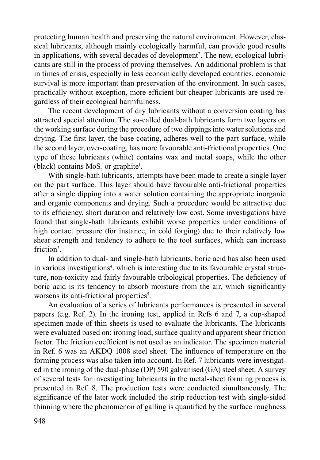protecting human health and preserving the natural environment. However, classical lubricants, although mainly ecologically harmful, can provide good results in applications, with several decades of development<sup>2</sup>. The new, ecological lubricants are still in the process of proving themselves. An additional problem is that in times of crisis, especially in less economically developed countries, economic survival is more important than preservation of the environment. In such cases, practically without exception, more efficient but cheaper lubricants are used regardless of their ecological harmfulness.

The recent development of dry lubricants without a conversion coating has attracted special attention. The so-called dual-bath lubricants form two layers on the working surface during the procedure of two dippings into water solutions and drying. The first layer, the base coating, adheres well to the part surface, while the second layer, over-coating, has more favourable anti-frictional properties. One type of these lubricants (white) contains wax and metal soaps, while the other (black) contains  $MoS<sub>2</sub>$  or graphite<sup>1</sup>.

With single-bath lubricants, attempts have been made to create a single layer on the part surface. This layer should have favourable anti-frictional properties after a single dipping into a water solution containing the appropriate inorganic and organic components and drying. Such a procedure would be attractive due to its efficiency, short duration and relatively low cost. Some investigations have found that single-bath lubricants exhibit worse properties under conditions of high contact pressure (for instance, in cold forging) due to their relatively low shear strength and tendency to adhere to the tool surfaces, which can increase friction<sup>3</sup>.

In addition to dual- and single-bath lubricants, boric acid has also been used in various investigations<sup>4</sup>, which is interesting due to its favourable crystal structure, non-toxicity and fairly favourable tribological properties. The deficiency of boric acid is its tendency to absorb moisture from the air, which significantly worsens its anti-frictional properties<sup>5</sup>.

An evaluation of a series of lubricants performances is presented in several papers (e.g. Ref. 2). In the ironing test, applied in Refs 6 and 7, a cup-shaped specimen made of thin sheets is used to evaluate the lubricants. The lubricants were evaluated based on: ironing load, surface quality and apparent shear friction factor. The friction coefficient is not used as an indicator. The specimen material in Ref. 6 was an AKDQ 1008 steel sheet. The influence of temperature on the forming process was also taken into account. In Ref. 7 lubricants were investigated in the ironing of the dual-phase (DP) 590 galvanised (GA) steel sheet. A survey of several tests for investigating lubricants in the metal-sheet forming process is presented in Ref. 8. The production tests were conducted simultaneously. The significance of the later work included the strip reduction test with single-sided thinning where the phenomenon of galling is quantified by the surface roughness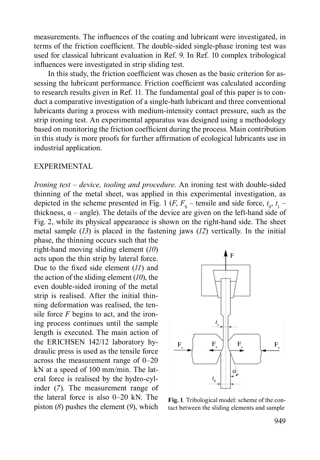measurements. The influences of the coating and lubricant were investigated, in terms of the friction coefficient. The double-sided single-phase ironing test was used for classical lubricant evaluation in Ref. 9. In Ref. 10 complex tribological influences were investigated in strip sliding test.

In this study, the friction coefficient was chosen as the basic criterion for assessing the lubricant performance. Friction coefficient was calculated according to research results given in Ref. 11. The fundamental goal of this paper is to conduct a comparative investigation of a single-bath lubricant and three conventional lubricants during a process with medium-intensity contact pressure, such as the strip ironing test. An experimental apparatus was designed using a methodology based on monitoring the friction coefficient during the process. Main contribution in this study is more proofs for further affirmation of ecological lubricants use in industrial application.

### EXPERIMENTAL

*Ironing test – device, tooling and procedure*. An ironing test with double-sided thinning of the metal sheet, was applied in this experimental investigation, as depicted in the scheme presented in Fig. 1 (*F*,  $F_s$  – tensile and side force,  $t_0$ ,  $t_1$  – thickness,  $\alpha$  – angle). The details of the device are given on the left-hand side of Fig.  2, while its physical appearance is shown on the right-hand side. The sheet metal sample (*13*) is placed in the fastening jaws (*12*) vertically. In the initial phase, the thinning occurs such that the

right-hand moving sliding element (*10*) acts upon the thin strip by lateral force. Due to the fixed side element (*11*) and the action of the sliding element (*10*), the even double-sided ironing of the metal strip is realised. After the initial thinning deformation was realised, the tensile force *F* begins to act, and the ironing process continues until the sample length is executed. The main action of the ERICHSEN 142/12 laboratory hydraulic press is used as the tensile force across the measurement range of 0–20 kN at a speed of 100  mm/min. The lateral force is realised by the hydro-cylinder (*7*). The measurement range of the lateral force is also 0–20 kN. The piston (*8*) pushes the element (*9*), which



**Fig. 1***.* Tribological model: scheme of the contact between the sliding elements and sample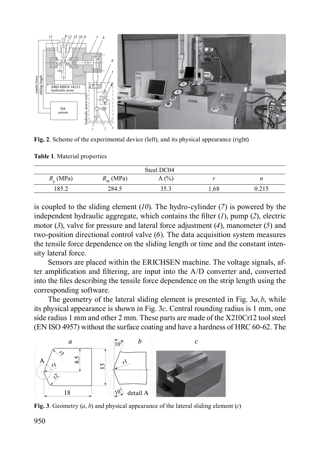

**Fig. 2**. Scheme of the experimental device (left), and its physical appearance (right)

**Table 1**. Material properties

| Steel DC04        |                   |      |      |          |
|-------------------|-------------------|------|------|----------|
| $R_{\rm n}$ (MPa) | $R_{\rm M}$ (MPa) | A(%) |      |          |
| 1 O C T<br>.00.4  | 284.5             | 252  | 1.68 | ن 1 کارا |

is coupled to the sliding element (*10*). The hydro-cylinder (*7*) is powered by the independent hydraulic aggregate, which contains the filter (*1*), pump (*2*), electric motor (*3*), valve for pressure and lateral force adjustment (*4*), manometer (*5*) and two-position directional control valve (*6*). The data acquisition system measures the tensile force dependence on the sliding length or time and the constant intensity lateral force.

Sensors are placed within the ERICHSEN machine. The voltage signals, after amplification and filtering, are input into the A/D converter and, converted into the files describing the tensile force dependence on the strip length using the corresponding software.

The geometry of the lateral sliding element is presented in Fig. 3*a*,*b*, while its physical appearance is shown in Fig. 3*c*. Central rounding radius is 1 mm, one side radius 1 mm and other 2 mm. These parts are made of the X210Cr12 tool steel (EN ISO 4957) without the surface coating and have a hardness of HRC 60-62. The



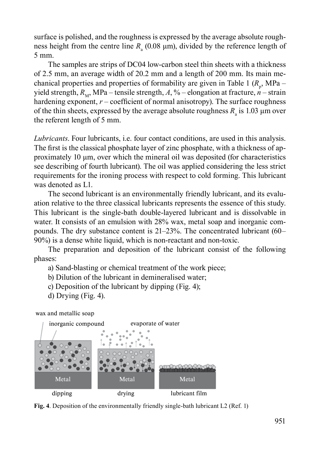surface is polished, and the roughness is expressed by the average absolute roughness height from the centre line  $R_a$  (0.08  $\mu$ m), divided by the reference length of 5 mm.

The samples are strips of DC04 low-carbon steel thin sheets with a thickness of 2.5 mm, an average width of 20.2 mm and a length of 200 mm. Its main mechanical properties and properties of formability are given in Table 1  $(R_p$ , MPa – yield strength,  $R_M$ , MPa – tensile strength, A, % – elongation at fracture,  $n -$  strain hardening exponent,  $r$  – coefficient of normal anisotropy). The surface roughness of the thin sheets, expressed by the average absolute roughness  $R_a$  is 1.03  $\mu$ m over the referent length of 5 mm.

*Lubricants*. Four lubricants, i.e. four contact conditions, are used in this analysis. The first is the classical phosphate layer of zinc phosphate, with a thickness of approximately 10 μm, over which the mineral oil was deposited (for characteristics see describing of fourth lubricant). The oil was applied considering the less strict requirements for the ironing process with respect to cold forming. This lubricant was denoted as L1.

The second lubricant is an environmentally friendly lubricant, and its evaluation relative to the three classical lubricants represents the essence of this study. This lubricant is the single-bath double-layered lubricant and is dissolvable in water. It consists of an emulsion with 28% wax, metal soap and inorganic compounds. The dry substance content is 21–23%. The concentrated lubricant (60– 90%) is a dense white liquid, which is non-reactant and non-toxic.

The preparation and deposition of the lubricant consist of the following phases:

- a) Sand-blasting or chemical treatment of the work piece;
- b) Dilution of the lubricant in demineralised water;
- c) Deposition of the lubricant by dipping (Fig. 4);
- d) Drying (Fig. 4).

wax and metallic soap



**Fig. 4**. Deposition of the environmentally friendly single-bath lubricant L2 (Ref. 1)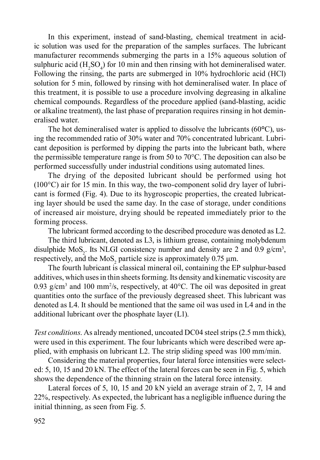In this experiment, instead of sand-blasting, chemical treatment in acidic solution was used for the preparation of the samples surfaces. The lubricant manufacturer recommends submerging the parts in a 15% aqueous solution of sulphuric acid  $(H_2SO_4)$  for 10 min and then rinsing with hot demineralised water. Following the rinsing, the parts are submerged in 10% hydrochloric acid (HCl) solution for 5 min, followed by rinsing with hot demineralised water. In place of this treatment, it is possible to use a procedure involving degreasing in alkaline chemical compounds. Regardless of the procedure applied (sand-blasting, acidic or alkaline treatment), the last phase of preparation requires rinsing in hot demineralised water.

The hot demineralised water is applied to dissolve the lubricants (60**°**C), using the recommended ratio of 30% water and 70% concentrated lubricant. Lubricant deposition is performed by dipping the parts into the lubricant bath, where the permissible temperature range is from 50 to 70°C. The deposition can also be performed successfully under industrial conditions using automated lines.

The drying of the deposited lubricant should be performed using hot (100°C) air for 15 min. In this way, the two-component solid dry layer of lubricant is formed (Fig. 4). Due to its hygroscopic properties, the created lubricating layer should be used the same day. In the case of storage, under conditions of increased air moisture, drying should be repeated immediately prior to the forming process.

The lubricant formed according to the described procedure was denoted as L2.

The third lubricant, denoted as L3, is lithium grease, containing molybdenum disulphide  $MoS_2$ . Its NLGI consistency number and density are 2 and 0.9 g/cm<sup>3</sup>, respectively, and the  $MoS_2$  particle size is approximately 0.75  $\mu$ m.

The fourth lubricant is classical mineral oil, containing the EP sulphur-based additives, which uses in thin sheets forming. Its density and kinematic viscosity are 0.93 g/cm<sup>3</sup> and 100 mm<sup>2</sup>/s, respectively, at  $40^{\circ}$ C. The oil was deposited in great quantities onto the surface of the previously degreased sheet. This lubricant was denoted as L4. It should be mentioned that the same oil was used in L4 and in the additional lubricant over the phosphate layer (L1).

*Test conditions*. As already mentioned, uncoated DC04 steel strips (2.5 mm thick), were used in this experiment. The four lubricants which were described were applied, with emphasis on lubricant L2. The strip sliding speed was 100 mm/min.

Considering the material properties, four lateral force intensities were selected: 5, 10, 15 and 20 kN. The effect of the lateral forces can be seen in Fig. 5, which shows the dependence of the thinning strain on the lateral force intensity.

Lateral forces of 5, 10, 15 and 20 kN yield an average strain of 2, 7, 14 and 22%, respectively. As expected, the lubricant has a negligible influence during the initial thinning, as seen from Fig. 5.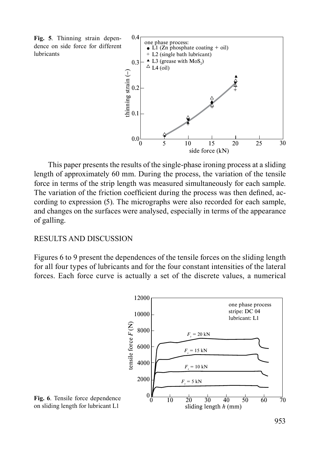**Fig. 5**. Thinning strain dependence on side force for different lubricants



This paper presents the results of the single-phase ironing process at a sliding length of approximately 60 mm. During the process, the variation of the tensile force in terms of the strip length was measured simultaneously for each sample. The variation of the friction coefficient during the process was then defined, according to expression (5). The micrographs were also recorded for each sample, and changes on the surfaces were analysed, especially in terms of the appearance of galling.

### RESULTS AND DISCUSSION

Figures 6 to 9 present the dependences of the tensile forces on the sliding length for all four types of lubricants and for the four constant intensities of the lateral forces. Each force curve is actually a set of the discrete values, a numerical



**Fig. 6**. Tensile force dependence on sliding length for lubricant L1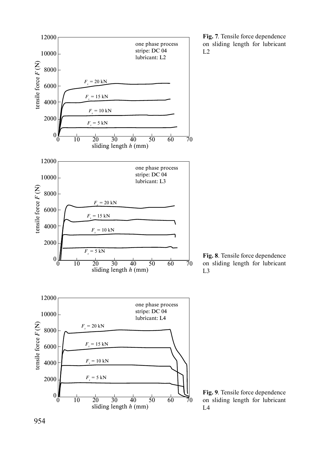

**Fig. 7**. Tensile force dependence on sliding length for lubricant  $L2$ 

**Fig. 8**. Tensile force dependence on sliding length for lubricant L3

**Fig. 9**. Tensile force dependence on sliding length for lubricant  $L<sub>4</sub>$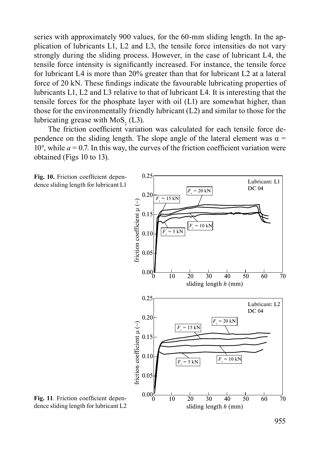series with approximately 900 values, for the 60-mm sliding length. In the application of lubricants L1, L2 and L3, the tensile force intensities do not vary strongly during the sliding process. However, in the case of lubricant L4, the tensile force intensity is significantly increased. For instance, the tensile force for lubricant L4 is more than 20% greater than that for lubricant L2 at a lateral force of 20 kN. These findings indicate the favourable lubricating properties of lubricants L1, L2 and L3 relative to that of lubricant L4. It is interesting that the tensile forces for the phosphate layer with oil (L1) are somewhat higher, than those for the environmentally friendly lubricant (L2) and similar to those for the lubricating grease with  $MoS<sub>2</sub>$  (L3).

The friction coefficient variation was calculated for each tensile force dependence on the sliding length. The slope angle of the lateral element was  $\alpha$  = 10 $^{\circ}$ , while  $a = 0.7$ . In this way, the curves of the friction coefficient variation were obtained (Figs 10 to 13).





**Fig. 11**. Friction coefficient dependence sliding length for lubricant L2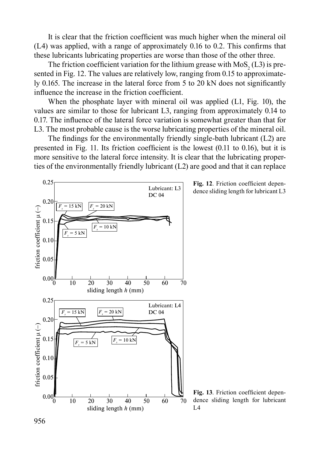It is clear that the friction coefficient was much higher when the mineral oil (L4) was applied, with a range of approximately 0.16 to 0.2. This confirms that these lubricants lubricating properties are worse than those of the other three.

The friction coefficient variation for the lithium grease with  $MoS<sub>2</sub>$  (L3) is presented in Fig. 12. The values are relatively low, ranging from 0.15 to approximately 0.165. The increase in the lateral force from 5 to 20 kN does not significantly influence the increase in the friction coefficient.

When the phosphate layer with mineral oil was applied (L1, Fig. 10), the values are similar to those for lubricant L3, ranging from approximately 0.14 to 0.17. The influence of the lateral force variation is somewhat greater than that for L3. The most probable cause is the worse lubricating properties of the mineral oil.

The findings for the environmentally friendly single-bath lubricant (L2) are presented in Fig. 11. Its friction coefficient is the lowest (0.11 to 0.16), but it is more sensitive to the lateral force intensity. It is clear that the lubricating properties of the environmentally friendly lubricant (L2) are good and that it can replace



**Fig. 12**. Friction coefficient dependence sliding length for lubricant L3

**Fig. 13**. Friction coefficient dependence sliding length for lubricant  $L<sub>4</sub>$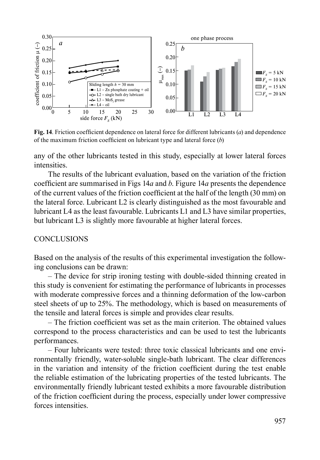

**Fig. 14**. Friction coefficient dependence on lateral force for different lubricants (*a*) and dependence of the maximum friction coefficient on lubricant type and lateral force (*b*)

any of the other lubricants tested in this study, especially at lower lateral forces **intensities** 

The results of the lubricant evaluation, based on the variation of the friction coefficient are summarised in Figs 14*a* and *b*. Figure 14*a* presents the dependence of the current values of the friction coefficient at the half of the length (30 mm) on the lateral force. Lubricant L2 is clearly distinguished as the most favourable and lubricant L4 as the least favourable. Lubricants L1 and L3 have similar properties, but lubricant L3 is slightly more favourable at higher lateral forces.

#### **CONCLUSIONS**

Based on the analysis of the results of this experimental investigation the following conclusions can be drawn:

– The device for strip ironing testing with double-sided thinning created in this study is convenient for estimating the performance of lubricants in processes with moderate compressive forces and a thinning deformation of the low-carbon steel sheets of up to 25%. The methodology, which is based on measurements of the tensile and lateral forces is simple and provides clear results.

– The friction coefficient was set as the main criterion. The obtained values correspond to the process characteristics and can be used to test the lubricants performances.

– Four lubricants were tested: three toxic classical lubricants and one environmentally friendly, water-soluble single-bath lubricant. The clear differences in the variation and intensity of the friction coefficient during the test enable the reliable estimation of the lubricating properties of the tested lubricants. The environmentally friendly lubricant tested exhibits a more favourable distribution of the friction coefficient during the process, especially under lower compressive forces intensities.